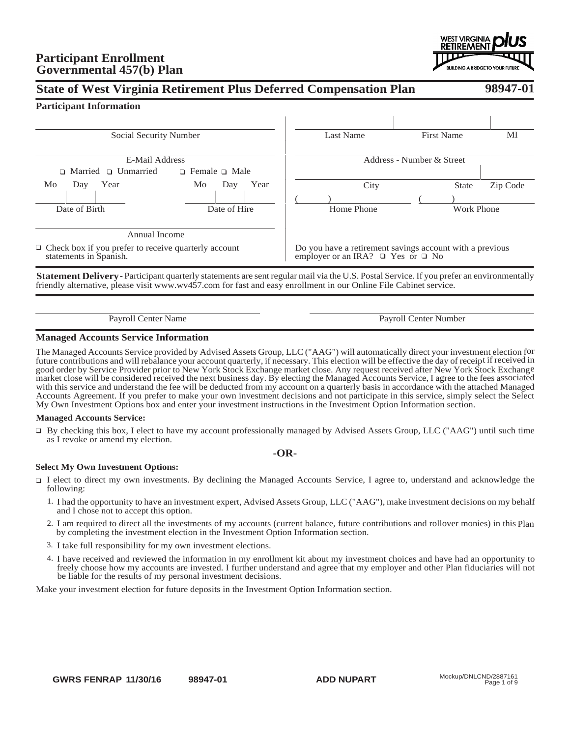# **Governmental 457(b) Plan State of West Virginia Retirement Plus Deferred Compensation Plan 98947-01**

# **Participant Information**

**Participant Enrollment**

| Social Security Number                                                                | Last Name                                   | <b>First Name</b>                                        | MI       |
|---------------------------------------------------------------------------------------|---------------------------------------------|----------------------------------------------------------|----------|
| <b>E-Mail Address</b><br>$\Box$ Married $\Box$ Unmarried<br>$\Box$ Female $\Box$ Male |                                             | Address - Number & Street                                |          |
| Mo<br>Year<br>Mo<br>Year<br>Day<br>Day                                                | City                                        | <b>State</b>                                             | Zip Code |
| Date of Birth<br>Date of Hire                                                         | Home Phone                                  | Work Phone                                               |          |
| Annual Income                                                                         |                                             |                                                          |          |
| $\Box$ Check box if you prefer to receive quarterly account<br>statements in Spanish. | employer or an IRA? $\Box$ Yes or $\Box$ No | Do you have a retirement savings account with a previous |          |

 $\overline{1}$ 

**Statement Delivery -** Participant quarterly statements are sent regular mail via the U.S. Postal Service. If you prefer an environmentally friendly alternative, please visit www.wv457.com for fast and easy enrollment in our Online File Cabinet service.

Payroll Center Name Payroll Center Number

**Managed Accounts Service Information**

The Managed Accounts Service provided by Advised Assets Group, LLC ("AAG") will automatically direct your investment election for future contributions and will rebalance your account quarterly, if necessary. This election will be effective the day of receipt if received in good order by Service Provider prior to New York Stock Exchange market close. Any request received after New York Stock Exchange market close will be considered received the next business day. By electing the Managed Accounts Service, I agree to the fees associated with this service and understand the fee will be deducted from my account on a quarterly basis in accordance with the attached Managed Accounts Agreement. If you prefer to make your own investment decisions and not participate in this service, simply select the Select My Own Investment Options box and enter your investment instructions in the Investment Option Information section.

# **Managed Accounts Service:**

 $\Box$  By checking this box, I elect to have my account professionally managed by Advised Assets Group, LLC ("AAG") until such time as I revoke or amend my election.

# **-OR-**

# **Select My Own Investment Options:**

- I elect to direct my own investments. By declining the Managed Accounts Service, I agree to, understand and acknowledge the following:
	- 1. I had the opportunity to have an investment expert, Advised Assets Group, LLC ("AAG"), make investment decisions on my behalf and I chose not to accept this option.
	- 2. I am required to direct all the investments of my accounts (current balance, future contributions and rollover monies) in this Plan by completing the investment election in the Investment Option Information section.
	- 3. I take full responsibility for my own investment elections.
	- 4. I have received and reviewed the information in my enrollment kit about my investment choices and have had an opportunity to freely choose how my accounts are invested. I further understand and agree that my employer and other Plan fiduciaries will not be liable for the results of my personal investment decisions.

Make your investment election for future deposits in the Investment Option Information section.

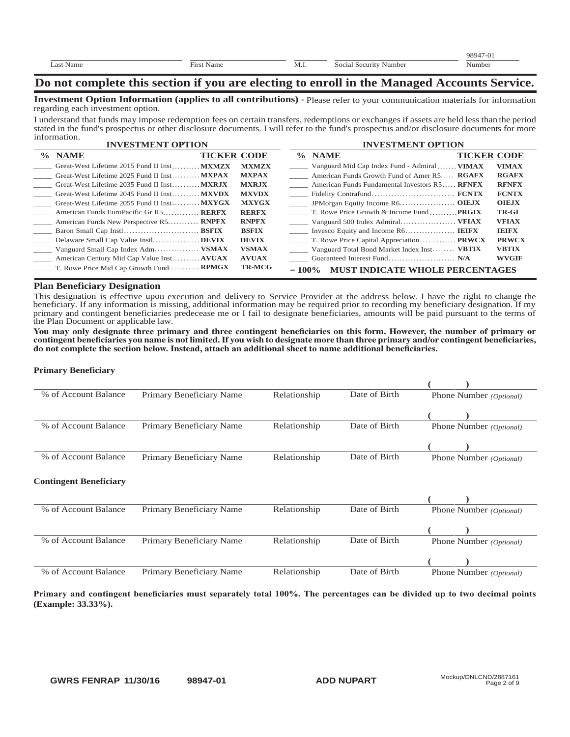|        |      |                |                                                       | ، ، ن |
|--------|------|----------------|-------------------------------------------------------|-------|
| $\sim$ | 'ame | .<br>$- - - -$ | Jumbe<br>0.010<br>the contract of the contract of the |       |

# **Do not complete this section if you are electing to enroll in the Managed Accounts Service.**

**Investment Option Information (applies to all contributions) -** Please refer to your communication materials for information regarding each investment option.

I understand that funds may impose redemption fees on certain transfers, redemptions or exchanges if assets are held less than the period stated in the fund's prospectus or other disclosure documents. I will refer to the fund's prospectus and/or disclosure documents for more information.

| <b>INVESTMENT OPTION</b>                                       |                    | <b>INVESTMENT OPTION</b>                                           |                    |
|----------------------------------------------------------------|--------------------|--------------------------------------------------------------------|--------------------|
| $%$ NAME                                                       | <b>TICKER CODE</b> | % NAME                                                             | <b>TICKER CODE</b> |
| Great-West Lifetime 2015 Fund II Inst MXMZX                    | <b>MXMZX</b>       | Vanguard Mid Cap Index Fund - Admiral  VIMAX                       | <b>VIMAX</b>       |
| Great-West Lifetime 2025 Fund II Inst MXPAX                    | <b>MXPAX</b>       | <b>EXECUTE:</b> American Funds Growth Fund of Amer R5 <b>RGAFX</b> | <b>RGAFX</b>       |
| Great-West Lifetime 2035 Fund II Inst MXRJX                    | <b>MXRJX</b>       | American Funds Fundamental Investors R5 RENEX                      | <b>RFNFX</b>       |
| Great-West Lifetime 2045 Fund II Inst MXVDX                    | <b>MXVDX</b>       |                                                                    | <b>FCNTX</b>       |
| Great-West Lifetime 2055 Fund II Inst MXYGX                    | <b>MXYGX</b>       |                                                                    | <b>OIEJX</b>       |
| American Funds EuroPacific Gr R5 RERFX                         | <b>RERFX</b>       | T. Rowe Price Growth & Income Fund <b>PRGIX</b>                    | <b>TR-GI</b>       |
| <b>EXECUTE:</b> American Funds New Perspective R5 <b>RNPFX</b> | <b>RNPFX</b>       |                                                                    | <b>VFIAX</b>       |
|                                                                | <b>BSFIX</b>       |                                                                    | <b>IEIFX</b>       |
|                                                                | <b>DEVIX</b>       | T. Rowe Price Capital Appreciation PRWCX                           | <b>PRWCX</b>       |
| Vanguard Small Cap Index Adm VSMAX                             | <b>VSMAX</b>       | Vanguard Total Bond Market Index Inst VBTIX                        | <b>VBTIX</b>       |
| American Century Mid Cap Value Inst AVUAX                      | <b>AVUAX</b>       |                                                                    | <b>WVGIF</b>       |
| T. Rowe Price Mid Cap Growth Fund RPMGX                        | <b>TR-MCG</b>      | <b>MUST INDICATE WHOLE PERCENTAGES</b><br>$= 100\%$                |                    |

# **Plan Beneficiary Designation**

This designation is effective upon execution and delivery to Service Provider at the address below. I have the right to change the beneficiary. If any information is missing, additional information may be required prior to recording my beneficiary designation. If my primary and contingent beneficiaries predecease me or I fail to designate beneficiaries, amounts will be paid pursuant to the terms of the Plan Document or applicable law.

**You may only designate three primary and three contingent beneficiaries on this form. However, the number of primary or contingent beneficiaries you name is not limited. If you wish to designate more than three primary and/or contingent beneficiaries, do not complete the section below. Instead, attach an additional sheet to name additional beneficiaries.**

#### **Primary Beneficiary**

| % of Account Balance | Primary Beneficiary Name | Relationship | Date of Birth | Phone Number (Optional) |
|----------------------|--------------------------|--------------|---------------|-------------------------|
|                      |                          |              |               |                         |
| % of Account Balance | Primary Beneficiary Name | Relationship | Date of Birth | Phone Number (Optional) |
|                      |                          |              |               |                         |
| % of Account Balance | Primary Beneficiary Name | Relationship | Date of Birth | Phone Number (Optional) |
|                      |                          |              |               |                         |

# **Contingent Beneficiary**

| % of Account Balance | Primary Beneficiary Name | Relationship | Date of Birth | Phone Number (Optional) |
|----------------------|--------------------------|--------------|---------------|-------------------------|
|                      |                          |              |               |                         |
|                      |                          |              |               |                         |
| % of Account Balance | Primary Beneficiary Name | Relationship | Date of Birth | Phone Number (Optional) |
|                      |                          |              |               |                         |
|                      |                          |              |               |                         |
| % of Account Balance | Primary Beneficiary Name | Relationship | Date of Birth | Phone Number (Optional) |

Primary and contingent beneficiaries must separately total 100%. The percentages can be divided up to two decimal points **(Example: 33.33%).**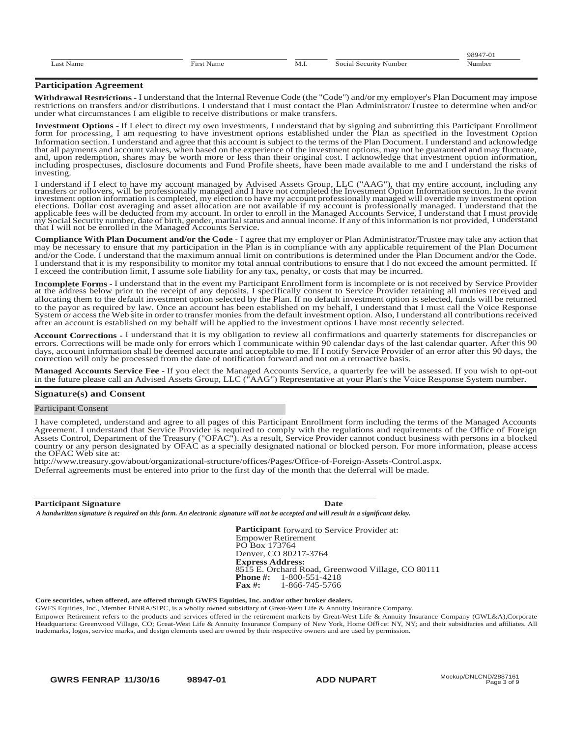|           |             |      |                             | 0.0017<br>7-01<br>. .<br>. . |
|-----------|-------------|------|-----------------------------|------------------------------|
| Last Name | vame<br>H1T | M.I. | Security<br>Number<br>ocial | Numbe                        |

#### **Participation Agreement**

**Withdrawal Restrictions -** I understand that the Internal Revenue Code (the "Code") and/or my employer's Plan Document may impose restrictions on transfers and/or distributions. I understand that I must contact the Plan Administrator/Trustee to determine when and/or under what circumstances I am eligible to receive distributions or make transfers.

Investment Options - If I elect to direct my own investments, I understand that by signing and submitting this Participant Enrollment<br>form for processing, I am requesting to have investment options established under the Pl Information section. I understand and agree that this account is subject to the terms of the Plan Document. I understand and acknowledge that all payments and account values, when based on the experience of the investment options, may not be guaranteed and may fluctuate, and, upon redemption, shares may be worth more or less than their original cost. I ackn including prospectuses, disclosure documents and Fund Profile sheets, have been made available to me and I understand the risks of investing.

I understand if I elect to have my account managed by Advised Assets Group, LLC ("AAG"), that my entire account, including any<br>transfers or rollovers, will be professionally managed and I have not completed the Investment elections. Dollar cost averaging and asset allocation are not available if my account is professionally managed. I understand that the applicable fees will be deducted from my account. In order to enroll in the Managed Acc my Social Security number, date of birth, gender, marital status and annual income. If any of this information is not provided, I understand that I will not be enrolled in the Managed Accounts Service.

**Compliance With Plan Document and/or the Code -** I agree that my employer or Plan Administrator/Trustee may take any action that may be necessary to ensure that my participation in the Plan is in compliance with any applicable requirement of the Plan Document and/or the Code. I understand that the maximum annual limit on contributions is determined under the Plan Document and/or the Code. I understand that it is my responsibility to monitor my total annual contributions to ensure that I do not exceed the amount permitted. If I exceed the contribution limit, I assume sole liability for any tax, penalty, or costs that may be incurred.

**Incomplete Forms -** I understand that in the event my Participant Enrollment form is incomplete or is not received by Service Provider at the address below prior to the receipt of any deposits, I specifically consent to Service Provider retaining all monies received and allocating them to the default investment option selected by the Plan. If no default investment option is selected, funds will be returned to the payor as required by law. Once an account has been established on my behalf, I understand that I must call the Voice Response System or access the Web site in order to transfer monies from the default investment option. Also, I understand all contributions received after an account is established on my behalf will be applied to the investment options I have most recently selected.

**Account Corrections -** I understand that it is my obligation to review all confirmations and quarterly statements for discrepancies or errors. Corrections will be made only for errors which I communicate within 90 calendar days of the last calendar quarter. After this 90 days, account information shall be deemed accurate and acceptable to me. If I notify Service Provider of an error after this 90 days, the correction will only be processed from the date of notification forward and not on a retroactive basis.

**Managed Accounts Service Fee -** If you elect the Managed Accounts Service, a quarterly fee will be assessed. If you wish to opt-out in the future please call an Advised Assets Group, LLC ("AAG") Representative at your Plan's the Voice Response System number.

#### **Signature(s) and Consent**

#### Participant Consent

I have completed, understand and agree to all pages of this Participant Enrollment form including the terms of the Managed Accounts Agreement. I understand that Service Provider is required to comply with the regulations and requirements of the Office of Foreign Assets Control, Department of the Treasury ("OFAC"). As a result, Service Provider cannot conduct business with persons in a blocked country or any person designated by OFAC as a specially designated national or blocked person. For more information, please access the OFAC Web site at:

http://www.treasury.gov/about/organizational-structure/offices/Pages/Office-of-Foreign-Assets-Control.aspx. Deferral agreements must be entered into prior to the first day of the month that the deferral will be made.

#### **Participant Signature Date**

*A handwritten signature is required on this form. An electronic signature will not be accepted and will result in a signifi cant delay.*

**Participant** forward to Service Provider at: Empower Retirement PO Box 173764 Denver, CO 80217-3764 **Express Address:** 8515 E. Orchard Road, Greenwood Village, CO 80111 **Phone #:** 1-800-551-4218 **Fax #:** 1-866-745-5766

**Core securities, when offered, are offered through GWFS Equities, Inc. and/or other broker dealers.**

GWFS Equities, Inc., Member FINRA/SIPC, is a wholly owned subsidiary of Great-West Life & Annuity Insurance Company.

Empower Retirement refers to the products and services offered in the retirement markets by Great-West Life & Annuity Insurance Company (GWL&A),Corporate Headquarters: Greenwood Village, CO; Great-West Life & Annuity Insurance Company of New York, Home Office: NY, NY; and their subsidiaries and affiliates. All trademarks, logos, service marks, and design elements used are owned by their respective owners and are used by permission.

age 3 of 9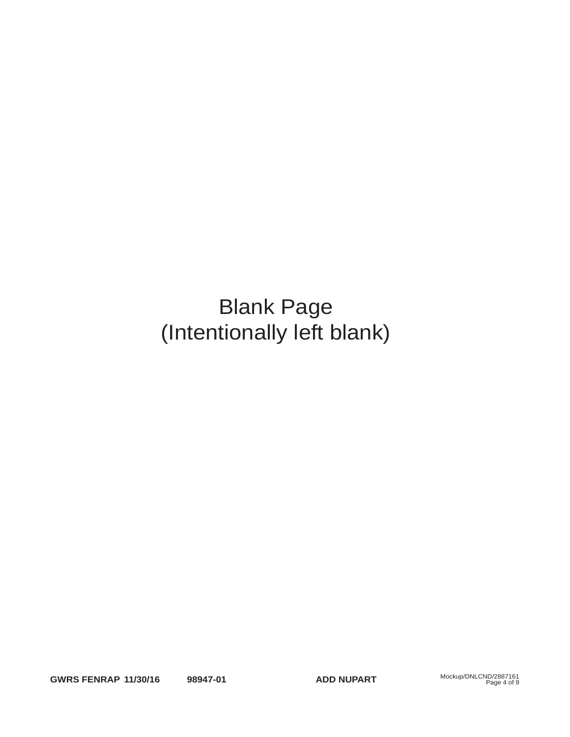# Blank Page (Intentionally left blank)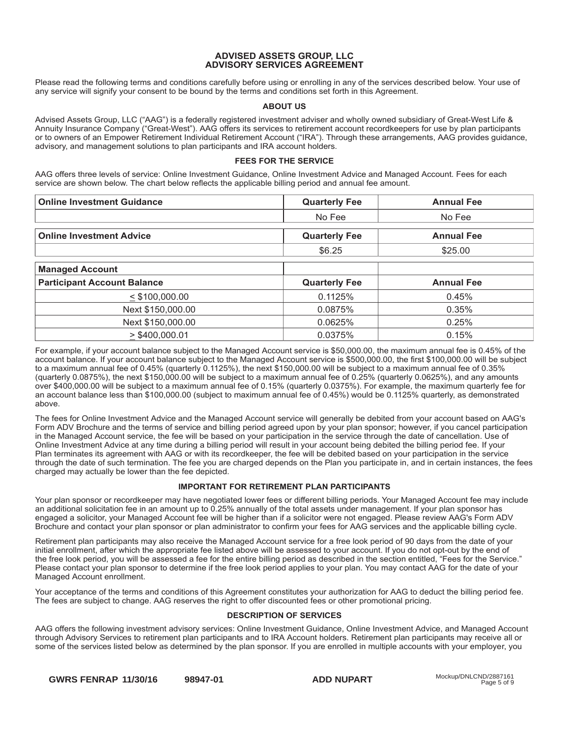# **ADVISED ASSETS GROUP, LLC ADVISORY SERVICES AGREEMENT**

Please read the following terms and conditions carefully before using or enrolling in any of the services described below. Your use of any service will signify your consent to be bound by the terms and conditions set forth in this Agreement.

# **ABOUT US**

Advised Assets Group, LLC ("AAG") is a federally registered investment adviser and wholly owned subsidiary of Great-West Life & Annuity Insurance Company ("Great-West"). AAG offers its services to retirement account recordkeepers for use by plan participants or to owners of an Empower Retirement Individual Retirement Account ("IRA"). Through these arrangements, AAG provides guidance, advisory, and management solutions to plan participants and IRA account holders.

#### **FEES FOR THE SERVICE**

AAG offers three levels of service: Online Investment Guidance, Online Investment Advice and Managed Account. Fees for each service are shown below. The chart below reflects the applicable billing period and annual fee amount.

| <b>Online Investment Guidance</b>  | <b>Quarterly Fee</b> | <b>Annual Fee</b> |
|------------------------------------|----------------------|-------------------|
|                                    | No Fee               | No Fee            |
| <b>Online Investment Advice</b>    | <b>Quarterly Fee</b> | <b>Annual Fee</b> |
|                                    | \$6.25               | \$25.00           |
| <b>Managed Account</b>             |                      |                   |
| <b>Participant Account Balance</b> | <b>Quarterly Fee</b> | <b>Annual Fee</b> |
| $<$ \$100,000.00                   | 0.1125%              | 0.45%             |
| Next \$150,000.00                  | 0.0875%              | 0.35%             |
| Next \$150,000.00                  | 0.0625%              | 0.25%             |
| $>$ \$400,000.01                   | 0.0375%              | 0.15%             |

For example, if your account balance subject to the Managed Account service is \$50,000.00, the maximum annual fee is 0.45% of the account balance. If your account balance subject to the Managed Account service is \$500,000.00, the first \$100,000.00 will be subject to a maximum annual fee of 0.45% (quarterly 0.1125%), the next \$150,000.00 will be subject to a maximum annual fee of 0.35% (quarterly 0.0875%), the next \$150,000.00 will be subject to a maximum annual fee of 0.25% (quarterly 0.0625%), and any amounts over \$400,000.00 will be subject to a maximum annual fee of 0.15% (quarterly 0.0375%). For example, the maximum quarterly fee for an account balance less than \$100,000.00 (subject to maximum annual fee of 0.45%) would be 0.1125% quarterly, as demonstrated above.

The fees for Online Investment Advice and the Managed Account service will generally be debited from your account based on AAG's Form ADV Brochure and the terms of service and billing period agreed upon by your plan sponsor; however, if you cancel participation in the Managed Account service, the fee will be based on your participation in the service through the date of cancellation. Use of Online Investment Advice at any time during a billing period will result in your account being debited the billing period fee. If your Plan terminates its agreement with AAG or with its recordkeeper, the fee will be debited based on your participation in the service through the date of such termination. The fee you are charged depends on the Plan you participate in, and in certain instances, the fees charged may actually be lower than the fee depicted.

# **IMPORTANT FOR RETIREMENT PLAN PARTICIPANTS**

Your plan sponsor or recordkeeper may have negotiated lower fees or different billing periods. Your Managed Account fee may include an additional solicitation fee in an amount up to 0.25% annually of the total assets under management. If your plan sponsor has engaged a solicitor, your Managed Account fee will be higher than if a solicitor were not engaged. Please review AAG's Form ADV Brochure and contact your plan sponsor or plan administrator to confirm your fees for AAG services and the applicable billing cycle.

Retirement plan participants may also receive the Managed Account service for a free look period of 90 days from the date of your initial enrollment, after which the appropriate fee listed above will be assessed to your account. If you do not opt-out by the end of the free look period, you will be assessed a fee for the entire billing period as described in the section entitled, "Fees for the Service." Please contact your plan sponsor to determine if the free look period applies to your plan. You may contact AAG for the date of your Managed Account enrollment.

Your acceptance of the terms and conditions of this Agreement constitutes your authorization for AAG to deduct the billing period fee. The fees are subject to change. AAG reserves the right to offer discounted fees or other promotional pricing.

#### **DESCRIPTION OF SERVICES**

AAG offers the following investment advisory services: Online Investment Guidance, Online Investment Advice, and Managed Account through Advisory Services to retirement plan participants and to IRA Account holders. Retirement plan participants may receive all or some of the services listed below as determined by the plan sponsor. If you are enrolled in multiple accounts with your employer, you

| <b>GWRS FENRAP 11/30/16</b> | 98947-01 | <b>ADD NUPART</b> | Mockup/DNLCND/2887161<br>Page 5 of 9 |
|-----------------------------|----------|-------------------|--------------------------------------|
|                             |          |                   |                                      |

Page 5 of 9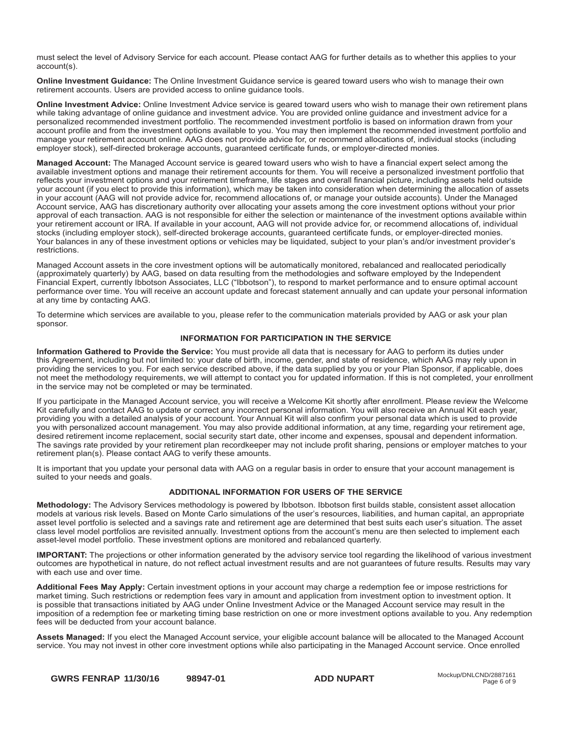must select the level of Advisory Service for each account. Please contact AAG for further details as to whether this applies to your account(s).

**Online Investment Guidance:** The Online Investment Guidance service is geared toward users who wish to manage their own retirement accounts. Users are provided access to online guidance tools.

**Online Investment Advice:** Online Investment Advice service is geared toward users who wish to manage their own retirement plans while taking advantage of online guidance and investment advice. You are provided online guidance and investment advice for a personalized recommended investment portfolio. The recommended investment portfolio is based on information drawn from your account profile and from the investment options available to you. You may then implement the recommended investment portfolio and manage your retirement account online. AAG does not provide advice for, or recommend allocations of, individual stocks (including employer stock), self-directed brokerage accounts, guaranteed certificate funds, or employer-directed monies.

**Managed Account:** The Managed Account service is geared toward users who wish to have a financial expert select among the available investment options and manage their retirement accounts for them. You will receive a personalized investment portfolio that reflects your investment options and your retirement timeframe, life stages and overall financial picture, including assets held outside your account (if you elect to provide this information), which may be taken into consideration when determining the allocation of assets in your account (AAG will not provide advice for, recommend allocations of, or manage your outside accounts). Under the Managed Account service, AAG has discretionary authority over allocating your assets among the core investment options without your prior approval of each transaction. AAG is not responsible for either the selection or maintenance of the investment options available within your retirement account or IRA. If available in your account, AAG will not provide advice for, or recommend allocations of, individual stocks (including employer stock), self-directed brokerage accounts, guaranteed certificate funds, or employer-directed monies. Your balances in any of these investment options or vehicles may be liquidated, subject to your plan's and/or investment provider's restrictions.

Managed Account assets in the core investment options will be automatically monitored, rebalanced and reallocated periodically (approximately quarterly) by AAG, based on data resulting from the methodologies and software employed by the Independent Financial Expert, currently Ibbotson Associates, LLC ("Ibbotson"), to respond to market performance and to ensure optimal account performance over time. You will receive an account update and forecast statement annually and can update your personal information at any time by contacting AAG.

To determine which services are available to you, please refer to the communication materials provided by AAG or ask your plan sponsor.

#### **INFORMATION FOR PARTICIPATION IN THE SERVICE**

**Information Gathered to Provide the Service:** You must provide all data that is necessary for AAG to perform its duties under this Agreement, including but not limited to: your date of birth, income, gender, and state of residence, which AAG may rely upon in providing the services to you. For each service described above, if the data supplied by you or your Plan Sponsor, if applicable, does not meet the methodology requirements, we will attempt to contact you for updated information. If this is not completed, your enrollment in the service may not be completed or may be terminated.

If you participate in the Managed Account service, you will receive a Welcome Kit shortly after enrollment. Please review the Welcome Kit carefully and contact AAG to update or correct any incorrect personal information. You will also receive an Annual Kit each year, providing you with a detailed analysis of your account. Your Annual Kit will also confirm your personal data which is used to provide you with personalized account management. You may also provide additional information, at any time, regarding your retirement age, desired retirement income replacement, social security start date, other income and expenses, spousal and dependent information. The savings rate provided by your retirement plan recordkeeper may not include profit sharing, pensions or employer matches to your retirement plan(s). Please contact AAG to verify these amounts.

It is important that you update your personal data with AAG on a regular basis in order to ensure that your account management is suited to your needs and goals.

# **ADDITIONAL INFORMATION FOR USERS OF THE SERVICE**

**Methodology:** The Advisory Services methodology is powered by Ibbotson. Ibbotson first builds stable, consistent asset allocation models at various risk levels. Based on Monte Carlo simulations of the user's resources, liabilities, and human capital, an appropriate asset level portfolio is selected and a savings rate and retirement age are determined that best suits each user's situation. The asset class level model portfolios are revisited annually. Investment options from the account's menu are then selected to implement each asset-level model portfolio. These investment options are monitored and rebalanced quarterly.

**IMPORTANT:** The projections or other information generated by the advisory service tool regarding the likelihood of various investment outcomes are hypothetical in nature, do not reflect actual investment results and are not guarantees of future results. Results may vary with each use and over time.

**Additional Fees May Apply:** Certain investment options in your account may charge a redemption fee or impose restrictions for market timing. Such restrictions or redemption fees vary in amount and application from investment option to investment option. It is possible that transactions initiated by AAG under Online Investment Advice or the Managed Account service may result in the imposition of a redemption fee or marketing timing base restriction on one or more investment options available to you. Any redemption fees will be deducted from your account balance.

**Assets Managed:** If you elect the Managed Account service, your eligible account balance will be allocated to the Managed Account service. You may not invest in other core investment options while also participating in the Managed Account service. Once enrolled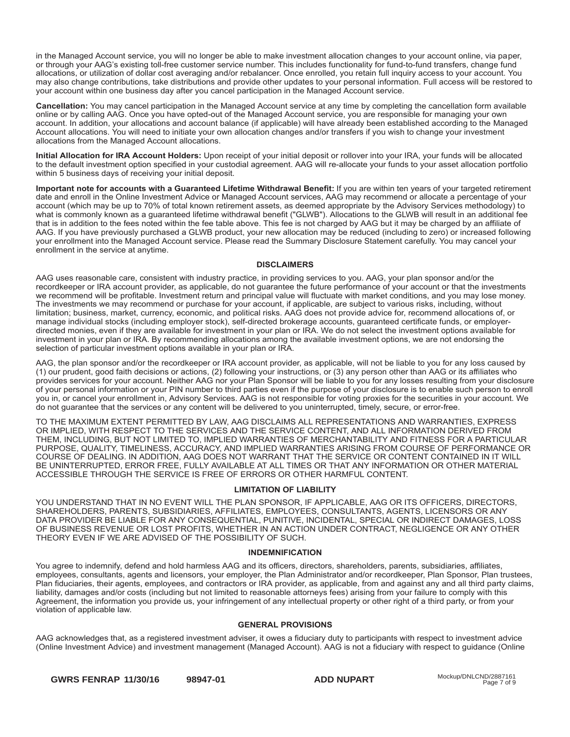in the Managed Account service, you will no longer be able to make investment allocation changes to your account online, via paper, or through your AAG's existing toll-free customer service number. This includes functionality for fund-to-fund transfers, change fund allocations, or utilization of dollar cost averaging and/or rebalancer. Once enrolled, you retain full inquiry access to your account. You may also change contributions, take distributions and provide other updates to your personal information. Full access will be restored to your account within one business day after you cancel participation in the Managed Account service.

**Cancellation:** You may cancel participation in the Managed Account service at any time by completing the cancellation form available online or by calling AAG. Once you have opted-out of the Managed Account service, you are responsible for managing your own account. In addition, your allocations and account balance (if applicable) will have already been established according to the Managed Account allocations. You will need to initiate your own allocation changes and/or transfers if you wish to change your investment allocations from the Managed Account allocations.

**Initial Allocation for IRA Account Holders:** Upon receipt of your initial deposit or rollover into your IRA, your funds will be allocated to the default investment option specified in your custodial agreement. AAG will re-allocate your funds to your asset allocation portfolio within 5 business days of receiving your initial deposit.

**Important note for accounts with a Guaranteed Lifetime Withdrawal Benefit:** If you are within ten years of your targeted retirement date and enroll in the Online Investment Advice or Managed Account services, AAG may recommend or allocate a percentage of your account (which may be up to 70% of total known retirement assets, as deemed appropriate by the Advisory Services methodology) to what is commonly known as a guaranteed lifetime withdrawal benefit ("GLWB"). Allocations to the GLWB will result in an additional fee that is in addition to the fees noted within the fee table above. This fee is not charged by AAG but it may be charged by an affiliate of AAG. If you have previously purchased a GLWB product, your new allocation may be reduced (including to zero) or increased following your enrollment into the Managed Account service. Please read the Summary Disclosure Statement carefully. You may cancel your enrollment in the service at anytime.

# **DISCLAIMERS**

AAG uses reasonable care, consistent with industry practice, in providing services to you. AAG, your plan sponsor and/or the recordkeeper or IRA account provider, as applicable, do not guarantee the future performance of your account or that the investments we recommend will be profitable. Investment return and principal value will fluctuate with market conditions, and you may lose money. The investments we may recommend or purchase for your account, if applicable, are subject to various risks, including, without limitation; business, market, currency, economic, and political risks. AAG does not provide advice for, recommend allocations of, or manage individual stocks (including employer stock), self-directed brokerage accounts, guaranteed certificate funds, or employerdirected monies, even if they are available for investment in your plan or IRA. We do not select the investment options available for investment in your plan or IRA. By recommending allocations among the available investment options, we are not endorsing the selection of particular investment options available in your plan or IRA.

AAG, the plan sponsor and/or the recordkeeper or IRA account provider, as applicable, will not be liable to you for any loss caused by (1) our prudent, good faith decisions or actions, (2) following your instructions, or (3) any person other than AAG or its affiliates who provides services for your account. Neither AAG nor your Plan Sponsor will be liable to you for any losses resulting from your disclosure of your personal information or your PIN number to third parties even if the purpose of your disclosure is to enable such person to enroll you in, or cancel your enrollment in, Advisory Services. AAG is not responsible for voting proxies for the securities in your account. We do not guarantee that the services or any content will be delivered to you uninterrupted, timely, secure, or error-free.

TO THE MAXIMUM EXTENT PERMITTED BY LAW, AAG DISCLAIMS ALL REPRESENTATIONS AND WARRANTIES, EXPRESS OR IMPLIED, WITH RESPECT TO THE SERVICES AND THE SERVICE CONTENT, AND ALL INFORMATION DERIVED FROM THEM, INCLUDING, BUT NOT LIMITED TO, IMPLIED WARRANTIES OF MERCHANTABILITY AND FITNESS FOR A PARTICULAR PURPOSE, QUALITY, TIMELINESS, ACCURACY, AND IMPLIED WARRANTIES ARISING FROM COURSE OF PERFORMANCE OR COURSE OF DEALING. IN ADDITION, AAG DOES NOT WARRANT THAT THE SERVICE OR CONTENT CONTAINED IN IT WILL BE UNINTERRUPTED, ERROR FREE, FULLY AVAILABLE AT ALL TIMES OR THAT ANY INFORMATION OR OTHER MATERIAL ACCESSIBLE THROUGH THE SERVICE IS FREE OF ERRORS OR OTHER HARMFUL CONTENT.

# **LIMITATION OF LIABILITY**

YOU UNDERSTAND THAT IN NO EVENT WILL THE PLAN SPONSOR, IF APPLICABLE, AAG OR ITS OFFICERS, DIRECTORS, SHAREHOLDERS, PARENTS, SUBSIDIARIES, AFFILIATES, EMPLOYEES, CONSULTANTS, AGENTS, LICENSORS OR ANY DATA PROVIDER BE LIABLE FOR ANY CONSEQUENTIAL, PUNITIVE, INCIDENTAL, SPECIAL OR INDIRECT DAMAGES, LOSS OF BUSINESS REVENUE OR LOST PROFITS, WHETHER IN AN ACTION UNDER CONTRACT, NEGLIGENCE OR ANY OTHER THEORY EVEN IF WE ARE ADVISED OF THE POSSIBILITY OF SUCH.

#### **INDEMNIFICATION**

You agree to indemnify, defend and hold harmless AAG and its officers, directors, shareholders, parents, subsidiaries, affiliates, employees, consultants, agents and licensors, your employer, the Plan Administrator and/or recordkeeper, Plan Sponsor, Plan trustees, Plan fiduciaries, their agents, employees, and contractors or IRA provider, as applicable, from and against any and all third party claims, liability, damages and/or costs (including but not limited to reasonable attorneys fees) arising from your failure to comply with this Agreement, the information you provide us, your infringement of any intellectual property or other right of a third party, or from your violation of applicable law.

#### **GENERAL PROVISIONS**

AAG acknowledges that, as a registered investment adviser, it owes a fiduciary duty to participants with respect to investment advice (Online Investment Advice) and investment management (Managed Account). AAG is not a fiduciary with respect to guidance (Online

|  | <b>GWRS FENRAP 11/30/16</b> | 98947-0 |  |  |
|--|-----------------------------|---------|--|--|
|--|-----------------------------|---------|--|--|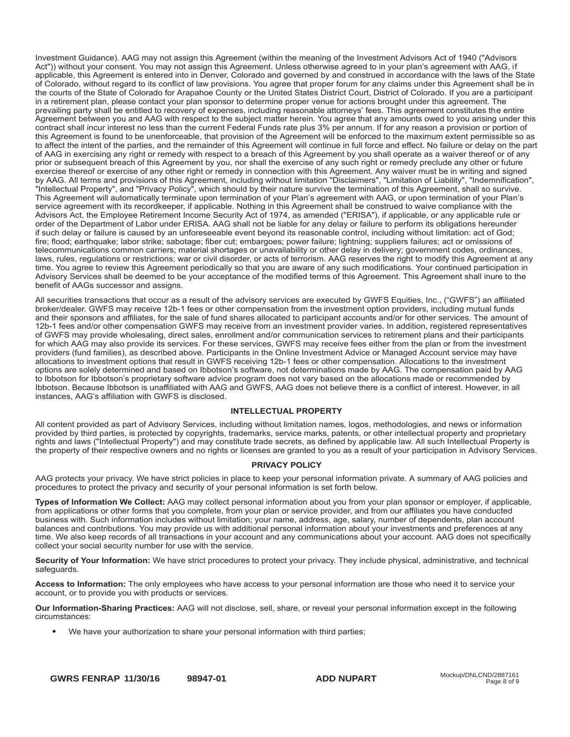Investment Guidance). AAG may not assign this Agreement (within the meaning of the Investment Advisors Act of 1940 ("Advisors Act")) without your consent. You may not assign this Agreement. Unless otherwise agreed to in your plan's agreement with AAG, if applicable, this Agreement is entered into in Denver, Colorado and governed by and construed in accordance with the laws of the State of Colorado, without regard to its conflict of law provisions. You agree that proper forum for any claims under this Agreement shall be in the courts of the State of Colorado for Arapahoe County or the United States District Court, District of Colorado. If you are a participant in a retirement plan, please contact your plan sponsor to determine proper venue for actions brought under this agreement. The prevailing party shall be entitled to recovery of expenses, including reasonable attorneys' fees. This agreement constitutes the entire Agreement between you and AAG with respect to the subject matter herein. You agree that any amounts owed to you arising under this contract shall incur interest no less than the current Federal Funds rate plus 3% per annum. If for any reason a provision or portion of this Agreement is found to be unenforceable, that provision of the Agreement will be enforced to the maximum extent permissible so as to affect the intent of the parties, and the remainder of this Agreement will continue in full force and effect. No failure or delay on the part of AAG in exercising any right or remedy with respect to a breach of this Agreement by you shall operate as a waiver thereof or of any prior or subsequent breach of this Agreement by you, nor shall the exercise of any such right or remedy preclude any other or future exercise thereof or exercise of any other right or remedy in connection with this Agreement. Any waiver must be in writing and signed by AAG. All terms and provisions of this Agreement, including without limitation "Disclaimers", "Limitation of Liability", "Indemnification", "Intellectual Property", and "Privacy Policy", which should by their nature survive the termination of this Agreement, shall so survive. This Agreement will automatically terminate upon termination of your Plan's agreement with AAG, or upon termination of your Plan's service agreement with its recordkeeper, if applicable. Nothing in this Agreement shall be construed to waive compliance with the Advisors Act, the Employee Retirement Income Security Act of 1974, as amended ("ERISA"), if applicable, or any applicable rule or order of the Department of Labor under ERISA. AAG shall not be liable for any delay or failure to perform its obligations hereunder if such delay or failure is caused by an unforeseeable event beyond its reasonable control, including without limitation: act of God; fire; flood; earthquake; labor strike; sabotage; fiber cut; embargoes; power failure; lightning; suppliers failures; act or omissions of telecommunications common carriers; material shortages or unavailability or other delay in delivery; government codes, ordinances, laws, rules, regulations or restrictions; war or civil disorder, or acts of terrorism. AAG reserves the right to modify this Agreement at any time. You agree to review this Agreement periodically so that you are aware of any such modifications. Your continued participation in Advisory Services shall be deemed to be your acceptance of the modified terms of this Agreement. This Agreement shall inure to the benefit of AAGs successor and assigns.

All securities transactions that occur as a result of the advisory services are executed by GWFS Equities, Inc., ("GWFS") an affiliated broker/dealer. GWFS may receive 12b-1 fees or other compensation from the investment option providers, including mutual funds and their sponsors and affiliates, for the sale of fund shares allocated to participant accounts and/or for other services. The amount of 12b-1 fees and/or other compensation GWFS may receive from an investment provider varies. In addition, registered representatives of GWFS may provide wholesaling, direct sales, enrollment and/or communication services to retirement plans and their participants for which AAG may also provide its services. For these services, GWFS may receive fees either from the plan or from the investment providers (fund families), as described above. Participants in the Online Investment Advice or Managed Account service may have allocations to investment options that result in GWFS receiving 12b-1 fees or other compensation. Allocations to the investment options are solely determined and based on Ibbotson's software, not determinations made by AAG. The compensation paid by AAG to Ibbotson for Ibbotson's proprietary software advice program does not vary based on the allocations made or recommended by Ibbotson. Because Ibbotson is unaffiliated with AAG and GWFS, AAG does not believe there is a conflict of interest. However, in all instances, AAG's affiliation with GWFS is disclosed.

#### **INTELLECTUAL PROPERTY**

All content provided as part of Advisory Services, including without limitation names, logos, methodologies, and news or information provided by third parties, is protected by copyrights, trademarks, service marks, patents, or other intellectual property and proprietary rights and laws ("Intellectual Property") and may constitute trade secrets, as defined by applicable law. All such Intellectual Property is the property of their respective owners and no rights or licenses are granted to you as a result of your participation in Advisory Services.

#### **PRIVACY POLICY**

AAG protects your privacy. We have strict policies in place to keep your personal information private. A summary of AAG policies and procedures to protect the privacy and security of your personal information is set forth below.

**Types of Information We Collect:** AAG may collect personal information about you from your plan sponsor or employer, if applicable, from applications or other forms that you complete, from your plan or service provider, and from our affiliates you have conducted business with. Such information includes without limitation; your name, address, age, salary, number of dependents, plan account balances and contributions. You may provide us with additional personal information about your investments and preferences at any time. We also keep records of all transactions in your account and any communications about your account. AAG does not specifically collect your social security number for use with the service.

**Security of Your Information:** We have strict procedures to protect your privacy. They include physical, administrative, and technical safeguards.

**Access to Information:** The only employees who have access to your personal information are those who need it to service your account, or to provide you with products or services.

**Our Information-Sharing Practices:** AAG will not disclose, sell, share, or reveal your personal information except in the following circumstances:

We have your authorization to share your personal information with third parties;